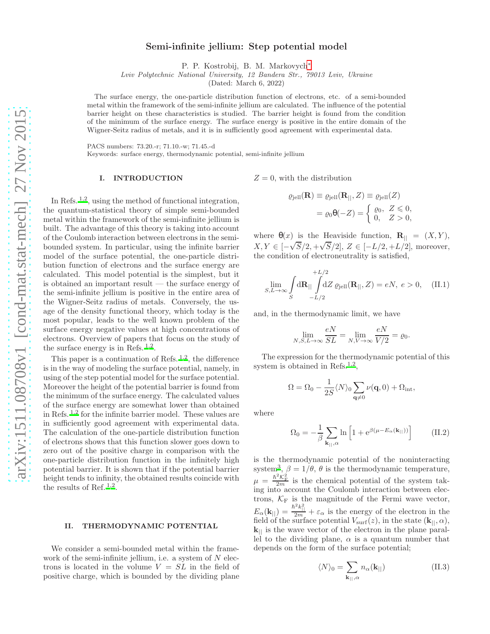# Semi-infinite jellium: Step potential model

P. P. Kostrobij, B. M. Markovych[∗](#page-10-0)

Lviv Polytechnic National University, 12 Bandera Str., 79013 Lviv, Ukraine

(Dated: March 6, 2022)

The surface energy, the one-particle distribution function of electrons, etc. of a semi-bounded metal within the framework of the semi-infinite jellium are calculated. The influence of the potential barrier height on these characteristics is studied. The barrier height is found from the condition of the minimum of the surface energy. The surface energy is positive in the entire domain of the Wigner-Seitz radius of metals, and it is in sufficiently good agreement with experimental data.

PACS numbers: 73.20.-r; 71.10.-w; 71.45.-d

Keywords: surface energy, thermodynamic potential, semi-infinite jellium

#### I. INTRODUCTION

In Refs.  $1,2$  $1,2$ , using the method of functional integration, the quantum-statistical theory of simple semi-bounded metal within the framework of the semi-infinite jellium is built. The advantage of this theory is taking into account of the Coulomb interaction between electrons in the semibounded system. In particular, using the infinite barrier model of the surface potential, the one-particle distribution function of electrons and the surface energy are calculated. This model potential is the simplest, but it is obtained an important result — the surface energy of the semi-infinite jellium is positive in the entire area of the Wigner-Seitz radius of metals. Conversely, the usage of the density functional theory, which today is the most popular, leads to the well known problem of the surface energy negative values at high concentrations of electrons. Overview of papers that focus on the study of the surface energy is in Refs.<sup>[1](#page-10-1)[,2](#page-10-2)</sup>.

This paper is a continuation of Refs.  $1,2$  $1,2$ , the difference is in the way of modeling the surface potential, namely, in using of the step potential model for the surface potential. Moreover the height of the potential barrier is found from the minimum of the surface energy. The calculated values of the surface energy are somewhat lower than obtained in Refs. [1](#page-10-1)[,2](#page-10-2) for the infinite barrier model. These values are in sufficiently good agreement with experimental data. The calculation of the one-particle distribution function of electrons shows that this function slower goes down to zero out of the positive charge in comparison with the one-particle distribution function in the infinitely high potential barrier. It is shown that if the potential barrier height tends to infinity, the obtained results coincide with the results of Ref.  $^{1,2}$  $^{1,2}$  $^{1,2}$  $^{1,2}$ .

#### II. THERMODYNAMIC POTENTIAL

We consider a semi-bounded metal within the framework of the semi-infinite jellium, i.e. a system of  $N$  electrons is located in the volume  $V = SL$  in the field of positive charge, which is bounded by the dividing plane

 $Z=0$ , with the distribution

$$
\varrho_{\text{jell}}(\mathbf{R}) \equiv \varrho_{\text{jell}}(\mathbf{R}_{||}, Z) \equiv \varrho_{\text{jell}}(Z)
$$

$$
= \varrho_0 \theta(-Z) = \begin{cases} \varrho_0, & Z \leq 0, \\ 0, & Z > 0, \end{cases}
$$

where  $\theta(x)$  is the Heaviside function,  $\mathbf{R}_{\perp} = (X, Y)$ ,  $X, Y \in [-\sqrt{S}/2, +\sqrt{S}/2], Z \in [-L/2, +L/2],$  moreover, the condition of electroneutrality is satisfied,

<span id="page-0-0"></span>
$$
\lim_{S,L \to \infty} \int_{S} d\mathbf{R}_{||} \int_{-L/2}^{+L/2} dZ \, \varrho_{\text{jell}}(\mathbf{R}_{||}, Z) = eN, \, e > 0,\quad \text{(II.1)}
$$

and, in the thermodynamic limit, we have

$$
\lim_{N,S,L\to\infty} \frac{eN}{SL} = \lim_{N,V\to\infty} \frac{eN}{V/2} = \varrho_0.
$$

The expression for the thermodynamic potential of this system is obtained in Refs.<sup>[1](#page-10-1)[,2](#page-10-2)</sup>,

$$
\Omega = \Omega_0 - \frac{1}{2S} \langle N \rangle_0 \sum_{\mathbf{q} \neq 0} \nu(\mathbf{q}, 0) + \Omega_{\text{int}},
$$

where

$$
\Omega_0 = -\frac{1}{\beta} \sum_{\mathbf{k}_{||},\alpha} \ln \left[ 1 + e^{\beta(\mu - E_{\alpha}(\mathbf{k}_{||}))} \right]
$$
(II.2)

is the thermodynamic potential of the noninteracting system<sup>[3](#page-10-3)</sup>,  $\beta = 1/\theta$ ,  $\theta$  is the thermodynamic temperature,  $\mu = \frac{\hbar^2 \mathcal{K}_{\rm F}^2}{2m}$  is the chemical potential of the system taking into account the Coulomb interaction between electrons,  $\mathcal{K}_{\mathrm{F}}$  is the magnitude of the Fermi wave vector,  $E_{\alpha}(\mathbf{k}_{||}) = \frac{\hbar^2 k_{||}^2}{2m_a} + \varepsilon_{\alpha}$  is the energy of the electron in the field of the surface potential  $V_{\text{surf}}(z)$ , in the state  $(\mathbf{k}_{\vert\vert}, \alpha)$ ,  $k_{\parallel}$  is the wave vector of the electron in the plane parallel to the dividing plane,  $\alpha$  is a quantum number that depends on the form of the surface potential;

<span id="page-0-1"></span>
$$
\langle N \rangle_0 = \sum_{\mathbf{k}_{||},\alpha} n_{\alpha}(\mathbf{k}_{||})
$$
 (II.3)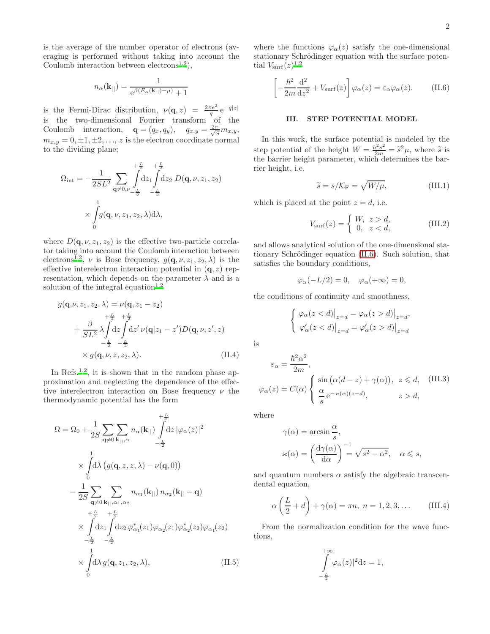is the average of the number operator of electrons (averaging is performed without taking into account the Coulomb interaction between electrons<sup>[1](#page-10-1)[,2](#page-10-2)</sup>),

$$
n_\alpha(\mathbf{k}_{||})=\frac{1}{\mathrm{e}^{\beta(E_\alpha(\mathbf{k}_{||})-\mu)}+1}
$$

is the Fermi-Dirac distribution,  $\nu(\mathbf{q},z) = \frac{2\pi e^2}{q} e^{-q|z|}$ is the two-dimensional Fourier transform of the Coulomb interaction,  $\mathbf{q} = (q_x, q_y), \quad q_{x,y} = \frac{2\pi}{\sqrt{3}}$  $\frac{\pi}{S}m_{x,y}$  $m_{x,y} = 0, \pm 1, \pm 2, \ldots, z$  is the electron coordinate normal to the dividing plane;

$$
\Omega_{int} = -\frac{1}{2SL^2} \sum_{\mathbf{q} \neq 0, \nu} \int_{-\frac{L}{2}}^{\frac{L}{2}} dz_1 \int dz_2 D(\mathbf{q}, \nu, z_1, z_2) \times \int_{0}^{1} g(\mathbf{q}, \nu, z_1, z_2, \lambda) d\lambda,
$$

where  $D(\mathbf{q}, \nu, z_1, z_2)$  is the effective two-particle correlator taking into account the Coulomb interaction between electrons<sup>[1](#page-10-1)[,2](#page-10-2)</sup>,  $\nu$  is Bose frequency,  $g(\mathbf{q}, \nu, z_1, z_2, \lambda)$  is the effective interelectron interaction potential in  $(q, z)$  representation, which depends on the parameter  $\lambda$  and is a solution of the integral equation<sup>[1](#page-10-1)[,2](#page-10-2)</sup>

$$
g(\mathbf{q}, \nu, z_1, z_2, \lambda) = \nu(\mathbf{q}, z_1 - z_2)
$$
  
+ $\frac{L}{2}$  + $\frac{L}{2}$   
+ $\frac{\beta}{SL^2} \lambda \int dz \int dz' \nu(\mathbf{q}|z_1 - z')D(\mathbf{q}, \nu, z', z)$   
- $\frac{L}{2}$  - $\frac{L}{2}$   
×  $g(\mathbf{q}, \nu, z, z_2, \lambda).$  (II.4)

In Refs.<sup>[1](#page-10-1)[,2](#page-10-2)</sup>, it is shown that in the random phase approximation and neglecting the dependence of the effective interelectron interaction on Bose frequency  $\nu$  the thermodynamic potential has the form

$$
\Omega = \Omega_0 + \frac{1}{2S} \sum_{\mathbf{q} \neq 0} \sum_{\mathbf{k}_{||},\alpha} n_{\alpha}(\mathbf{k}_{||}) \int_{-\frac{L}{2}}^{\frac{L}{2}} dz |\varphi_{\alpha}(z)|^2
$$
  
\n
$$
\times \int_0^1 d\lambda \left( g(\mathbf{q}, z, z, \lambda) - \nu(\mathbf{q}, 0) \right)
$$
  
\n
$$
- \frac{1}{2S} \sum_{\mathbf{q} \neq 0} \sum_{\mathbf{k}_{||},\alpha_1,\alpha_2} n_{\alpha_1}(\mathbf{k}_{||}) n_{\alpha_2}(\mathbf{k}_{||} - \mathbf{q})
$$
  
\n
$$
\times \int_0^{\frac{L}{2}} dz_1 \int_0^{\frac{L}{2}} dz_2 \varphi_{\alpha_1}^*(z_1) \varphi_{\alpha_2}(z_1) \varphi_{\alpha_2}^*(z_2) \varphi_{\alpha_1}(z_2)
$$
  
\n
$$
- \frac{L}{2} - \frac{L}{2}
$$
  
\n
$$
\times \int_0^1 d\lambda g(\mathbf{q}, z_1, z_2, \lambda), \qquad (II.5)
$$

where the functions  $\varphi_{\alpha}(z)$  satisfy the one-dimensional stationary Schrödinger equation with the surface potential  $V_{\text{surf}}(z)^{1,2}$  $V_{\text{surf}}(z)^{1,2}$  $V_{\text{surf}}(z)^{1,2}$  $V_{\text{surf}}(z)^{1,2}$ 

<span id="page-1-0"></span>
$$
\left[ -\frac{\hbar^2}{2m} \frac{\mathrm{d}^2}{\mathrm{d}z^2} + V_{\text{surf}}(z) \right] \varphi_\alpha(z) = \varepsilon_\alpha \varphi_\alpha(z). \tag{II.6}
$$

# III. STEP POTENTIAL MODEL

In this work, the surface potential is modeled by the step potential of the height  $W = \frac{\hbar^2 s^2}{2m} = \tilde{s}^2 \mu$ , where  $\tilde{s}$  is the barrier height parameter, which determines the barrier height, i.e.

$$
\widetilde{s} = s/\mathcal{K}_{\mathrm{F}} = \sqrt{W/\mu},\tag{III.1}
$$

which is placed at the point  $z = d$ , i.e.

<span id="page-1-1"></span>
$$
V_{\text{surf}}(z) = \begin{cases} W, & z > d, \\ 0, & z < d, \end{cases} \tag{III.2}
$$

and allows analytical solution of the one-dimensional sta-tionary Schrödinger equation [\(II.6\)](#page-1-0). Such solution, that satisfies the boundary conditions,

$$
\varphi_{\alpha}(-L/2) = 0, \quad \varphi_{\alpha}(+\infty) = 0,
$$

the conditions of continuity and smoothness,

$$
\begin{cases} \left. \varphi_{\alpha}(z < d) \right|_{z=d} = \varphi_{\alpha}(z > d) \right|_{z=d}, \\ \left. \left. \varphi_{\alpha}'(z < d) \right|_{z=d} = \left. \varphi_{\alpha}'(z > d) \right|_{z=d} \end{cases}
$$

<span id="page-1-4"></span>is

<span id="page-1-3"></span>
$$
\varepsilon_{\alpha} = \frac{\hbar^2 \alpha^2}{2m},
$$
  

$$
\varphi_{\alpha}(z) = C(\alpha) \begin{cases} \sin(\alpha(d-z) + \gamma(\alpha)), & z \leq d, \quad (\text{III.3})\\ \frac{\alpha}{s} e^{-\varkappa(\alpha)(z-d)}, & z > d, \end{cases}
$$

where

$$
\gamma(\alpha) = \arcsin \frac{\alpha}{s},
$$
  

$$
\varkappa(\alpha) = \left(\frac{d\gamma(\alpha)}{d\alpha}\right)^{-1} = \sqrt{s^2 - \alpha^2}, \quad \alpha \leqslant s,
$$

and quantum numbers  $\alpha$  satisfy the algebraic transcendental equation,

$$
\alpha \left( \frac{L}{2} + d \right) + \gamma(\alpha) = \pi n, \ n = 1, 2, 3, \dots \tag{III.4}
$$

<span id="page-1-2"></span>From the normalization condition for the wave functions,

$$
\int_{-\frac{L}{2}}^{+\infty} |\varphi_{\alpha}(z)|^2 dz = 1,
$$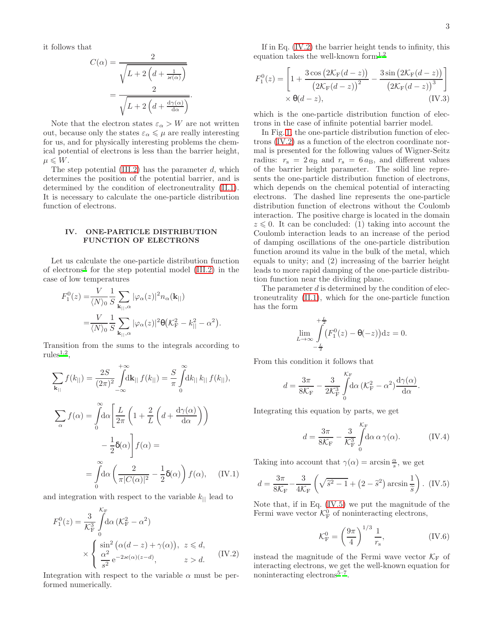it follows that

$$
C(\alpha) = \frac{2}{\sqrt{L+2\left(d+\frac{1}{\varkappa(\alpha)}\right)}} = \frac{2}{\sqrt{L+2\left(d+\frac{d\gamma(\alpha)}{d\alpha}\right)}}.
$$

Note that the electron states  $\varepsilon_{\alpha} > W$  are not written out, because only the states  $\varepsilon_{\alpha} \leq \mu$  are really interesting for us, and for physically interesting problems the chemical potential of electrons is less than the barrier height,  $\mu \leqslant W.$ 

The step potential  $(III.2)$  has the parameter d, which determines the position of the potential barrier, and is determined by the condition of electroneutrality [\(II.1\)](#page-0-0). It is necessary to calculate the one-particle distribution function of electrons.

#### IV. ONE-PARTICLE DISTRIBUTION FUNCTION OF ELECTRONS

Let us calculate the one-particle distribution function of electrons[4](#page-10-4) for the step potential model [\(III.2\)](#page-1-1) in the case of low temperatures

$$
F_1^0(z) = \frac{V}{\langle N \rangle_0} \frac{1}{S} \sum_{\mathbf{k}_{||},\alpha} |\varphi_\alpha(z)|^2 n_\alpha(\mathbf{k}_{||})
$$
  
= 
$$
\frac{V}{\langle N \rangle_0} \frac{1}{S} \sum_{\mathbf{k}_{||},\alpha} |\varphi_\alpha(z)|^2 \theta \left(\mathcal{K}_{\mathrm{F}}^2 - k_{||}^2 - \alpha^2\right).
$$

Transition from the sums to the integrals according to  $rules^{1,2},$  $rules^{1,2},$  $rules^{1,2},$  $rules^{1,2},$ 

$$
\sum_{\mathbf{k}_{||}} f(k_{||}) = \frac{2S}{(2\pi)^2} \int_{-\infty}^{+\infty} d\mathbf{k}_{||} f(k_{||}) = \frac{S}{\pi} \int_{0}^{\infty} d k_{||} k_{||} f(k_{||}),
$$
  

$$
\sum_{\alpha} f(\alpha) = \int_{0}^{\infty} d\alpha \left[ \frac{L}{2\pi} \left( 1 + \frac{2}{L} \left( d + \frac{d\gamma(\alpha)}{d\alpha} \right) \right) - \frac{1}{2} \delta(\alpha) \right] f(\alpha) =
$$
  

$$
= \int_{0}^{\infty} d\alpha \left( \frac{2}{\pi |C(\alpha)|^2} - \frac{1}{2} \delta(\alpha) \right) f(\alpha), \quad (\text{IV.1})
$$

and integration with respect to the variable  $k_{\parallel}$  lead to

$$
F_1^0(z) = \frac{3}{\mathcal{K}_{\rm F}^3} \int_0^{\mathcal{K}_{\rm F}} d\alpha \left(\mathcal{K}_{\rm F}^2 - \alpha^2\right)
$$
  
\$\times \begin{cases} \sin^2\left(\alpha(d-z) + \gamma(\alpha)\right), & z \leq d, \\ \frac{\alpha^2}{s^2} e^{-2\varkappa(\alpha)(z-d)}, & z > d. \end{cases}\$ (IV.2)

Integration with respect to the variable  $\alpha$  must be performed numerically.

If in Eq. [\(IV.2\)](#page-2-0) the barrier height tends to infinity, this equation takes the well-known form<sup>[1](#page-10-1)[,2](#page-10-2)</sup>

$$
F_1^0(z) = \left[1 + \frac{3\cos\left(2\mathcal{K}_F(d-z)\right)}{\left(2\mathcal{K}_F(d-z)\right)^2} - \frac{3\sin\left(2\mathcal{K}_F(d-z)\right)}{\left(2\mathcal{K}_F(d-z)\right)^3}\right] \times \theta(d-z),\tag{IV.3}
$$

which is the one-particle distribution function of electrons in the case of infinite potential barrier model.

In Fig. [1,](#page-3-0) the one-particle distribution function of electrons [\(IV.2\)](#page-2-0) as a function of the electron coordinate normal is presented for the following values of Wigner-Seitz radius:  $r_s = 2 a_B$  and  $r_s = 6 a_B$ , and different values of the barrier height parameter. The solid line represents the one-particle distribution function of electrons, which depends on the chemical potential of interacting electrons. The dashed line represents the one-particle distribution function of electrons without the Coulomb interaction. The positive charge is located in the domain  $z \leq 0$ . It can be concluded: (1) taking into account the Coulomb interaction leads to an increase of the period of damping oscillations of the one-particle distribution function around its value in the bulk of the metal, which equals to unity; and (2) increasing of the barrier height leads to more rapid damping of the one-particle distribution function near the dividing plane.

The parameter d is determined by the condition of electroneutrality [\(II.1\)](#page-0-0), which for the one-particle function has the form

$$
\lim_{L \to \infty} \int_{-\frac{L}{2}}^{+\frac{L}{2}} (F_1^0(z) - \theta(-z)) \mathrm{d}z = 0.
$$

From this condition it follows that

$$
d = \frac{3\pi}{8\mathcal{K}_{\rm F}} - \frac{3}{2\mathcal{K}_{\rm F}^3} \int\limits_{0}^{\mathcal{K}_{\rm F}} d\alpha \, (\mathcal{K}_{\rm F}^2 - \alpha^2) \frac{d\gamma(\alpha)}{d\alpha}.
$$

Integrating this equation by parts, we get

<span id="page-2-4"></span>
$$
d = \frac{3\pi}{8\mathcal{K}_{\rm F}} - \frac{3}{\mathcal{K}_{\rm F}^3} \int\limits_{0}^{\mathcal{K}_{\rm F}} d\alpha \,\alpha \,\gamma(\alpha). \tag{IV.4}
$$

<span id="page-2-2"></span>Taking into account that  $\gamma(\alpha) = \arcsin \frac{\alpha}{s}$ , we get

<span id="page-2-1"></span>
$$
d = \frac{3\pi}{8\mathcal{K}_{\rm F}} - \frac{3}{4\mathcal{K}_{\rm F}} \left( \sqrt{\tilde{s}^2 - 1} + (2 - \tilde{s}^2) \arcsin \frac{1}{\tilde{s}} \right). \tag{IV.5}
$$

Note that, if in Eq. [\(IV.5\)](#page-2-1) we put the magnitude of the Fermi wave vector  $\mathcal{K}_{\mathrm{F}}^0$  of noninteracting electrons,

<span id="page-2-3"></span>
$$
\mathcal{K}_{\rm F}^0 = \left(\frac{9\pi}{4}\right)^{1/3} \frac{1}{r_{\rm s}},\tag{IV.6}
$$

<span id="page-2-0"></span>instead the magnitude of the Fermi wave vector  $\mathcal{K}_{\mathrm{F}}$  of interacting electrons, we get the well-known equation for noninteracting electrons<sup>[5](#page-10-5)-7</sup>.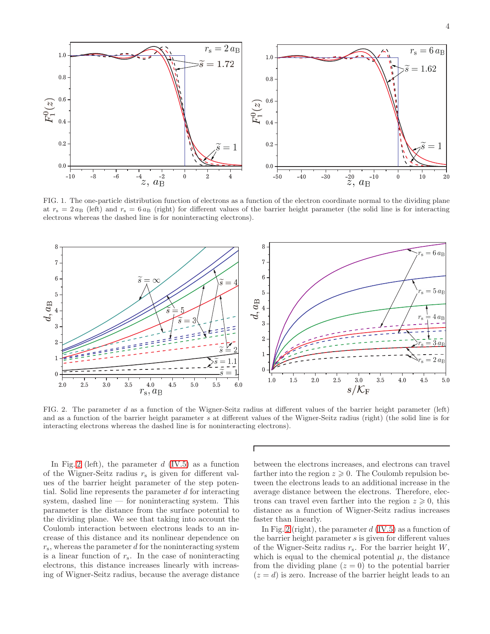

<span id="page-3-0"></span>FIG. 1. The one-particle distribution function of electrons as a function of the electron coordinate normal to the dividing plane at  $r_s = 2 a_B$  (left) and  $r_s = 6 a_B$  (right) for different values of the barrier height parameter (the solid line is for interacting electrons whereas the dashed line is for noninteracting electrons).



<span id="page-3-1"></span>FIG. 2. The parameter  $d$  as a function of the Wigner-Seitz radius at different values of the barrier height parameter (left) and as a function of the barrier height parameter s at different values of the Wigner-Seitz radius (right) (the solid line is for interacting electrons whereas the dashed line is for noninteracting electrons).

In Fig. [2](#page-3-1) (left), the parameter  $d$  [\(IV.5\)](#page-2-1) as a function of the Wigner-Seitz radius  $r_s$  is given for different values of the barrier height parameter of the step potential. Solid line represents the parameter d for interacting system, dashed line — for noninteracting system. This parameter is the distance from the surface potential to the dividing plane. We see that taking into account the Coulomb interaction between electrons leads to an increase of this distance and its nonlinear dependence on  $r<sub>s</sub>$ , whereas the parameter d for the noninteracting system is a linear function of  $r_s$ . In the case of noninteracting electrons, this distance increases linearly with increasing of Wigner-Seitz radius, because the average distance

between the electrons increases, and electrons can travel farther into the region  $z \geq 0$ . The Coulomb repulsion between the electrons leads to an additional increase in the average distance between the electrons. Therefore, electrons can travel even farther into the region  $z \geq 0$ , this distance as a function of Wigner-Seitz radius increases faster than linearly.

In Fig. [2](#page-3-1) (right), the parameter  $d$  [\(IV.5\)](#page-2-1) as a function of the barrier height parameter s is given for different values of the Wigner-Seitz radius  $r_s$ . For the barrier height  $W$ , which is equal to the chemical potential  $\mu$ , the distance from the dividing plane  $(z = 0)$  to the potential barrier  $(z = d)$  is zero. Increase of the barrier height leads to an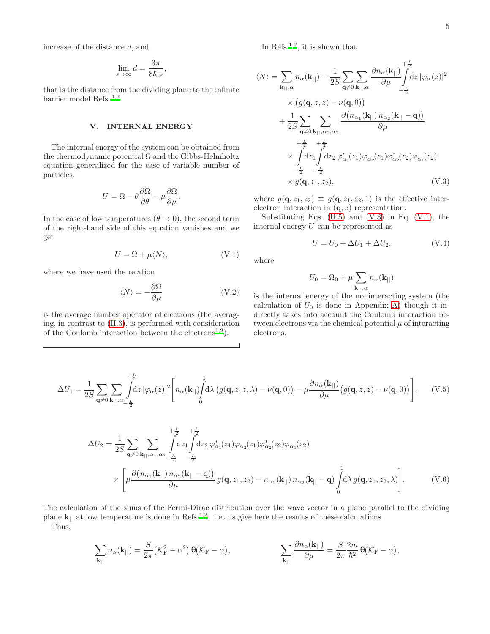<span id="page-4-0"></span> $\cdot$  T

increase of the distance d, and

$$
\lim_{s \to \infty} d = \frac{3\pi}{8\mathcal{K}_{\mathrm{F}}},
$$

that is the distance from the dividing plane to the infinite barrier model Refs. [1](#page-10-1)[,2](#page-10-2) .

## V. INTERNAL ENERGY

The internal energy of the system can be obtained from the thermodynamic potential  $\Omega$  and the Gibbs-Helmholtz equation generalized for the case of variable number of particles,

$$
U = \Omega - \theta \frac{\partial \Omega}{\partial \theta} - \mu \frac{\partial \Omega}{\partial \mu}.
$$

In the case of low temperatures ( $\theta \rightarrow 0$ ), the second term of the right-hand side of this equation vanishes and we get

<span id="page-4-1"></span>
$$
U = \Omega + \mu \langle N \rangle, \tag{V.1}
$$

where we have used the relation

$$
\langle N \rangle = -\frac{\partial \Omega}{\partial \mu} \tag{V.2}
$$

is the average number operator of electrons (the averaging, in contrast to [\(II.3\)](#page-0-1), is performed with consideration of the Coulomb interaction between the electrons<sup>[1](#page-10-1)[,2](#page-10-2)</sup>).

In Refs.<sup>[1](#page-10-1)[,2](#page-10-2)</sup>, it is shown that

$$
\langle N \rangle = \sum_{\mathbf{k}_{||},\alpha} n_{\alpha}(\mathbf{k}_{||}) - \frac{1}{2S} \sum_{\mathbf{q} \neq 0} \sum_{\mathbf{k}_{||},\alpha} \frac{\partial n_{\alpha}(\mathbf{k}_{||})}{\partial \mu} \int_{-\frac{L}{2}}^{\frac{L}{2}} dz |\varphi_{\alpha}(z)|^2
$$
  
 
$$
\times (g(\mathbf{q}, z, z) - \nu(\mathbf{q}, 0))
$$
  
+ 
$$
\frac{1}{2S} \sum_{\mathbf{q} \neq 0} \sum_{\mathbf{k}_{||},\alpha_1,\alpha_2} \frac{\partial (n_{\alpha_1}(\mathbf{k}_{||}) n_{\alpha_2}(\mathbf{k}_{||} - \mathbf{q}))}{\partial \mu}
$$
  
+ 
$$
\frac{L}{2} + \frac{L}{2}
$$
  

$$
\times \int d z_1 \int d z_2 \varphi_{\alpha_1}^*(z_1) \varphi_{\alpha_2}(z_1) \varphi_{\alpha_2}^*(z_2) \varphi_{\alpha_1}(z_2)
$$
  
- 
$$
\frac{L}{2} - \frac{L}{2}
$$
  

$$
\times g(\mathbf{q}, z_1, z_2), \qquad (V.3)
$$

where  $g(\mathbf{q}, z_1, z_2) \equiv g(\mathbf{q}, z_1, z_2, 1)$  is the effective interelectron interaction in  $(q, z)$  representation.

Substituting Eqs.  $(II.5)$  and  $(V.3)$  in Eq.  $(V.1)$ , the internal energy U can be represented as

<span id="page-4-2"></span>
$$
U = U_0 + \Delta U_1 + \Delta U_2, \tag{V.4}
$$

where

$$
U_0 = \Omega_0 + \mu \sum_{\mathbf{k}_{||},\alpha} n_{\alpha}(\mathbf{k}_{||})
$$

is the internal energy of the noninteracting system (the calculation of  $U_0$  is done in Appendix [A\)](#page-7-0) though it indirectly takes into account the Coulomb interaction between electrons via the chemical potential  $\mu$  of interacting electrons.

$$
\Delta U_1 = \frac{1}{2S} \sum_{\mathbf{q} \neq 0} \sum_{\mathbf{k}_{||}, \alpha} \int_{-\frac{L}{2}}^{\frac{L}{2}} \alpha |\varphi_\alpha(z)|^2 \left[ n_\alpha(\mathbf{k}_{||}) \int_0^1 \alpha \lambda \left( g(\mathbf{q}, z, z, \lambda) - \nu(\mathbf{q}, 0) \right) - \mu \frac{\partial n_\alpha(\mathbf{k}_{||})}{\partial \mu} \left( g(\mathbf{q}, z, z) - \nu(\mathbf{q}, 0) \right) \right], \quad (V.5)
$$

$$
\Delta U_2 = \frac{1}{2S} \sum_{\mathbf{q} \neq 0} \sum_{\mathbf{k}_{||}, \alpha_1, \alpha_2} \int_{-\frac{L}{2}}^{\frac{L}{2}} dz_1 \int dz_2 \varphi_{\alpha_1}^*(z_1) \varphi_{\alpha_2}(z_1) \varphi_{\alpha_2}^*(z_2) \varphi_{\alpha_1}(z_2)
$$
  
 
$$
\times \left[ \mu \frac{\partial (n_{\alpha_1}(\mathbf{k}_{||}) n_{\alpha_2}(\mathbf{k}_{||} - \mathbf{q}))}{\partial \mu} g(\mathbf{q}, z_1, z_2) - n_{\alpha_1}(\mathbf{k}_{||}) n_{\alpha_2}(\mathbf{k}_{||} - \mathbf{q}) \int_0^1 dz_1 \varphi_{\alpha_1}(z_1) \varphi_{\alpha_2}(z_1) \varphi_{\alpha_2}(z_2) \varphi_{\alpha_1}(z_2) \right]. \tag{V.6}
$$

The calculation of the sums of the Fermi-Dirac distribution over the wave vector in a plane parallel to the dividing plane  $k_{\parallel}$  at low temperature is done in Refs.<sup>[1](#page-10-1)[,2](#page-10-2)</sup>. Let us give here the results of these calculations. Thus,

$$
\sum_{\mathbf{k}_{||}} n_{\alpha}(\mathbf{k}_{||}) = \frac{S}{2\pi} (\mathcal{K}_{\mathrm{F}}^2 - \alpha^2) \Theta(\mathcal{K}_{\mathrm{F}} - \alpha), \qquad \qquad \sum_{\mathbf{k}_{||}} \frac{\partial n_{\alpha}(\mathbf{k}_{||})}{\partial \mu} = \frac{S}{2\pi} \frac{2m}{\hbar^2} \Theta(\mathcal{K}_{\mathrm{F}} - \alpha),
$$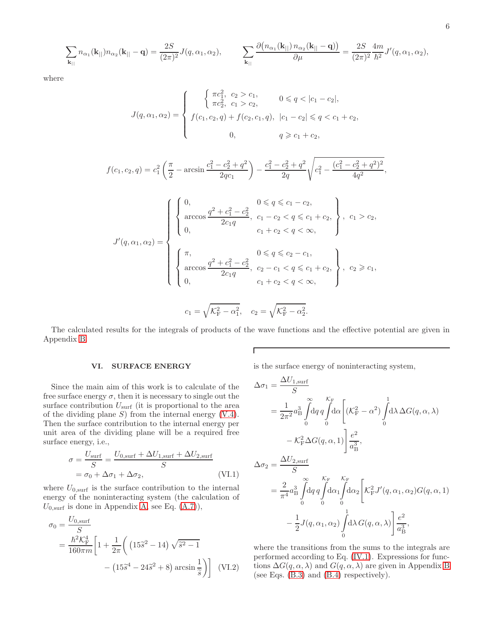$$
\sum_{\mathbf{k}_{||}} n_{\alpha_1}(\mathbf{k}_{||}) n_{\alpha_2}(\mathbf{k}_{||}-\mathbf{q}) = \frac{2S}{(2\pi)^2} J(q, \alpha_1, \alpha_2), \qquad \sum_{\mathbf{k}_{||}} \frac{\partial (n_{\alpha_1}(\mathbf{k}_{||}) n_{\alpha_2}(\mathbf{k}_{||}-\mathbf{q}))}{\partial \mu} = \frac{2S}{(2\pi)^2} \frac{4m}{\hbar^2} J'(q, \alpha_1, \alpha_2),
$$

where

$$
J(q, \alpha_1, \alpha_2) = \begin{cases} \begin{cases} \pi c_1^2, & c_2 > c_1, \\ \pi c_2^2, & c_1 > c_2, \end{cases} & 0 \leqslant q < |c_1 - c_2|, \\ f(c_1, c_2, q) + f(c_2, c_1, q), & |c_1 - c_2| \leqslant q < c_1 + c_2, \\ 0, & q \geqslant c_1 + c_2, \end{cases} \end{cases}
$$

$$
f(c_1, c_2, q) = c_1^2 \left(\frac{\pi}{2} - \arcsin \frac{c_1^2 - c_2^2 + q^2}{2qc_1}\right) - \frac{c_1^2 - c_2^2 + q^2}{2q} \sqrt{c_1^2 - \frac{(c_1^2 - c_2^2 + q^2)^2}{4q^2}}
$$

$$
J'(q, \alpha_1, \alpha_2) = \begin{cases} \begin{cases} 0, & 0 \leqslant q \leqslant c_1 - c_2, \\ \arccos \frac{q^2 + c_1^2 - c_2^2}{2c_1 q}, & c_1 - c_2 < q \leqslant c_1 + c_2, \\ 0, & c_1 + c_2 < q < \infty, \end{cases} \\ \begin{cases} \pi, & 0 \leqslant q \leqslant c_2 - c_1, \\ \arccos \frac{q^2 + c_1^2 - c_2^2}{2c_1 q}, & c_2 - c_1 < q \leqslant c_1 + c_2, \\ 0, & c_1 + c_2 < q < \infty, \end{cases}, & c_2 \geqslant c_1, \end{cases}
$$

$$
c_1 = \sqrt{K_{\rm F}^2 - \alpha_1^2}
$$
,  $c_2 = \sqrt{K_{\rm F}^2 - \alpha_2^2}$ .

The calculated results for the integrals of products of the wave functions and the effective potential are given in Appendix [B.](#page-8-0)

# VI. SURFACE ENERGY

Since the main aim of this work is to calculate of the free surface energy  $\sigma$ , then it is necessary to single out the surface contribution  $U_{\text{surf}}$  (it is proportional to the area of the dividing plane  $S$ ) from the internal energy [\(V.4\)](#page-4-2). Then the surface contribution to the internal energy per unit area of the dividing plane will be a required free surface energy, i.e.,

$$
\sigma = \frac{U_{\text{surf}}}{S} = \frac{U_{0,\text{surf}} + \Delta U_{1,\text{surf}} + \Delta U_{2,\text{surf}}}{S}
$$

$$
= \sigma_0 + \Delta \sigma_1 + \Delta \sigma_2, \qquad (VI.1)
$$

where  $U_{0,\text{surf}}$  is the surface contribution to the internal energy of the noninteracting system (the calculation of  $U_{0,\text{surf}}$  is done in Appendix [A,](#page-7-0) see Eq.  $(A.7)$ ),

$$
\sigma_0 = \frac{U_{0,\text{surf}}}{S}
$$
  
=  $\frac{\hbar^2 \mathcal{K}_{\text{F}}^4}{160\pi m} \left[ 1 + \frac{1}{2\pi} \left( \left( 15\tilde{s}^2 - 14 \right) \sqrt{\tilde{s}^2 - 1} - \left( 15\tilde{s}^4 - 24\tilde{s}^2 + 8 \right) \arcsin \frac{1}{\tilde{s}} \right) \right]$  (VI.2)

is the surface energy of noninteracting system,

$$
\Delta \sigma_1 = \frac{\Delta U_{1,\text{surf}}}{S}
$$
  
\n
$$
= \frac{1}{2\pi^2} a_B^3 \int_0^{\infty} dq \int_0^{K_F} d\alpha \left[ (\mathcal{K}_F^2 - \alpha^2) \int_0^1 d\lambda \Delta G(q, \alpha, \lambda) - \mathcal{K}_F^2 \Delta G(q, \alpha, 1) \right] \frac{e^2}{a_B^3},
$$
  
\n
$$
\Delta \sigma_2 = \frac{\Delta U_{2,\text{surf}}}{S}
$$
  
\n
$$
= \frac{2}{\pi^4} a_B^3 \int_0^{\infty} dq \int_0^{K_F} d\alpha_1 \int_0^{\infty} d\alpha_2 \left[ \mathcal{K}_F^2 J'(q, \alpha_1, \alpha_2) G(q, \alpha, 1) - \frac{1}{2} J(q, \alpha_1, \alpha_2) \int_0^1 d\lambda G(q, \alpha, \lambda) \right] \frac{e^2}{a_B^3},
$$

<span id="page-5-1"></span><span id="page-5-0"></span>where the transitions from the sums to the integrals are performed according to Eq. [\(IV.1\)](#page-2-2). Expressions for functions  $\Delta G(q, \alpha, \lambda)$  and  $G(q, \alpha, \lambda)$  are given in Appendix [B](#page-8-0) (see Eqs. [\(B.3\)](#page-9-0) and [\(B.4\)](#page-9-1) respectively).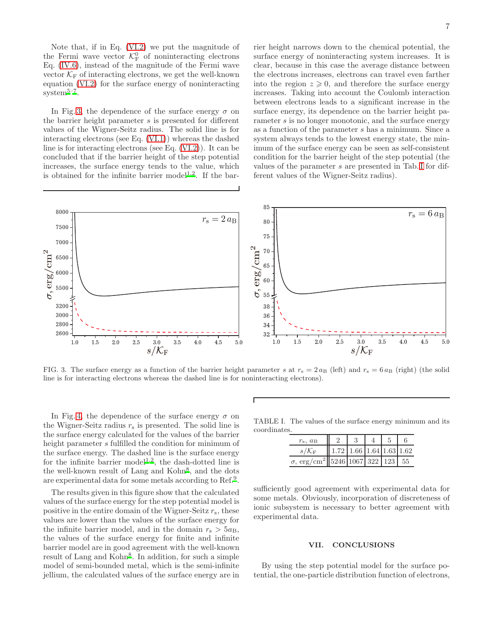Note that, if in Eq. [\(VI.2\)](#page-5-0) we put the magnitude of the Fermi wave vector  $\mathcal{K}_{\mathrm{F}}^{0}$  of noninteracting electrons Eq. [\(IV.6\)](#page-2-3), instead of the magnitude of the Fermi wave vector  $K_F$  of interacting electrons, we get the well-known equation [\(VI.2\)](#page-5-0) for the surface energy of noninteracting  $s$ ystem<sup>[5](#page-10-5)[–7](#page-10-6)</sup>.

In Fig. [3,](#page-6-0) the dependence of the surface energy  $\sigma$  on the barrier height parameter s is presented for different values of the Wigner-Seitz radius. The solid line is for interacting electrons (see Eq. [\(VI.1\)](#page-5-1)) whereas the dashed line is for interacting electrons (see Eq. [\(VI.2\)](#page-5-0)). It can be concluded that if the barrier height of the step potential increases, the surface energy tends to the value, which is obtained for the infinite barrier model<sup>[1](#page-10-1)[,2](#page-10-2)</sup>. If the barrier height narrows down to the chemical potential, the surface energy of noninteracting system increases. It is clear, because in this case the average distance between the electrons increases, electrons can travel even farther into the region  $z \geqslant 0$ , and therefore the surface energy increases. Taking into account the Coulomb interaction between electrons leads to a significant increase in the surface energy, its dependence on the barrier height parameter s is no longer monotonic, and the surface energy as a function of the parameter s has a minimum. Since a system always tends to the lowest energy state, the minimum of the surface energy can be seen as self-consistent condition for the barrier height of the step potential (the values of the parameter s are presented in Tab. [I](#page-6-1) for different values of the Wigner-Seitz radius).



<span id="page-6-0"></span>FIG. 3. The surface energy as a function of the barrier height parameter s at  $r_s = 2 a_B$  (left) and  $r_s = 6 a_B$  (right) (the solid line is for interacting electrons whereas the dashed line is for noninteracting electrons).

In Fig. [4,](#page-7-1) the dependence of the surface energy  $\sigma$  on the Wigner-Seitz radius  $r_s$  is presented. The solid line is the surface energy calculated for the values of the barrier height parameter s fulfilled the condition for minimum of the surface energy. The dashed line is the surface energy for the infinite barrier model<sup>[1](#page-10-1)[,2](#page-10-2)</sup>, the dash-dotted line is the well-known result of Lang and Kohn<sup>[8](#page-10-7)</sup>, and the dots are experimental data for some metals according to Ref.<sup>[9](#page-10-8)</sup>.

The results given in this figure show that the calculated values of the surface energy for the step potential model is positive in the entire domain of the Wigner-Seitz  $r_s$ , these values are lower than the values of the surface energy for the infinite barrier model, and in the domain  $r_s > 5a_B$ , the values of the surface energy for finite and infinite barrier model are in good agreement with the well-known result of Lang and Kohn<sup>[8](#page-10-7)</sup>. In addition, for such a simple model of semi-bounded metal, which is the semi-infinite jellium, the calculated values of the surface energy are in

TABLE I. The values of the surface energy minimum and its coordinates.

<span id="page-6-1"></span>

| $r_{\rm s}$ , $a_{\rm B}$                           |                                              |  |  |
|-----------------------------------------------------|----------------------------------------------|--|--|
| $s/\mathcal{K}_F$                                   | $\parallel$ 1.72   1.66   1.64   1.63   1.62 |  |  |
| $\sigma$ , erg/cm <sup>2</sup> 5246 1067 322 123 55 |                                              |  |  |

sufficiently good agreement with experimental data for some metals. Obviously, incorporation of discreteness of ionic subsystem is necessary to better agreement with experimental data.

## VII. CONCLUSIONS

By using the step potential model for the surface potential, the one-particle distribution function of electrons,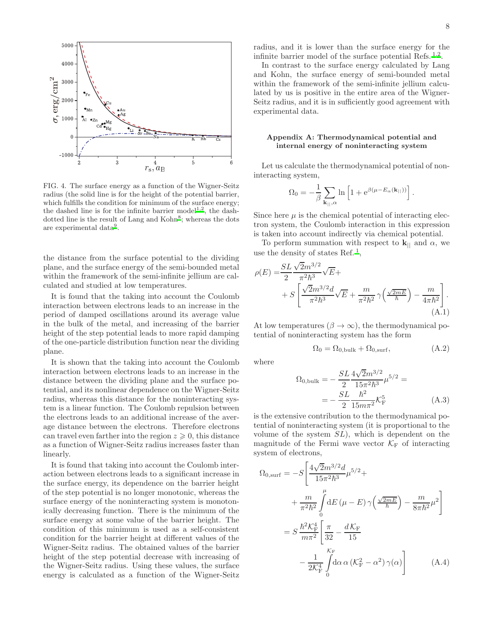

<span id="page-7-1"></span>FIG. 4. The surface energy as a function of the Wigner-Seitz radius (the solid line is for the height of the potential barrier, which fulfills the condition for minimum of the surface energy; the dashed [l](#page-10-1)ine is for the infinite barrier model<sup>1[,2](#page-10-2)</sup>, the dash-dotted line is the result of Lang and Kohn<sup>[8](#page-10-7)</sup>; whereas the dots [a](#page-10-8)re experimental data<sup>9</sup>.

the distance from the surface potential to the dividing plane, and the surface energy of the semi-bounded metal within the framework of the semi-infinite jellium are calculated and studied at low temperatures.

It is found that the taking into account the Coulomb interaction between electrons leads to an increase in the period of damped oscillations around its average value in the bulk of the metal, and increasing of the barrier height of the step potential leads to more rapid damping of the one-particle distribution function near the dividing plane.

It is shown that the taking into account the Coulomb interaction between electrons leads to an increase in the distance between the dividing plane and the surface potential, and its nonlinear dependence on the Wigner-Seitz radius, whereas this distance for the noninteracting system is a linear function. The Coulomb repulsion between the electrons leads to an additional increase of the average distance between the electrons. Therefore electrons can travel even farther into the region  $z \geqslant 0$ , this distance as a function of Wigner-Seitz radius increases faster than linearly.

It is found that taking into account the Coulomb interaction between electrons leads to a significant increase in the surface energy, its dependence on the barrier height of the step potential is no longer monotonic, whereas the surface energy of the noninteracting system is monotonically decreasing function. There is the minimum of the surface energy at some value of the barrier height. The condition of this minimum is used as a self-consistent condition for the barrier height at different values of the Wigner-Seitz radius. The obtained values of the barrier height of the step potential decrease with increasing of the Wigner-Seitz radius. Using these values, the surface energy is calculated as a function of the Wigner-Seitz

radius, and it is lower than the surface energy for the infinite barrier model of the surface potential Refs.<sup>[1](#page-10-1)[,2](#page-10-2)</sup>.

In contrast to the surface energy calculated by Lang and Kohn, the surface energy of semi-bounded metal within the framework of the semi-infinite jellium calculated by us is positive in the entire area of the Wigner-Seitz radius, and it is in sufficiently good agreement with experimental data.

## <span id="page-7-0"></span>Appendix A: Thermodynamical potential and internal energy of noninteracting system

Let us calculate the thermodynamical potential of noninteracting system,

$$
\Omega_0 = -\frac{1}{\beta} \sum_{\mathbf{k}_{||},\alpha} \ln \left[ 1 + e^{\beta(\mu - E_{\alpha}(\mathbf{k}_{||}))} \right]
$$

Since here  $\mu$  is the chemical potential of interacting electron system, the Coulomb interaction in this expression is taken into account indirectly via chemical potential.

To perform summation with respect to  $\mathbf{k}_{\parallel}$  and  $\alpha$ , we use the density of states Ref.<sup>[1](#page-10-1)</sup>,

$$
\rho(E) = \frac{SL}{2} \frac{\sqrt{2}m^{3/2}}{\pi^2 \hbar^3} \sqrt{E} +
$$
  
+
$$
S \left[ \frac{\sqrt{2}m^{3/2}d}{\pi^2 \hbar^3} \sqrt{E} + \frac{m}{\pi^2 \hbar^2} \gamma \left( \frac{\sqrt{2mE}}{\hbar} \right) - \frac{m}{4\pi \hbar^2} \right].
$$
  
(A.1)

At low temperatures ( $\beta \to \infty$ ), the thermodynamical potential of noninteracting system has the form

<span id="page-7-2"></span>
$$
\Omega_0 = \Omega_{0,\text{bulk}} + \Omega_{0,\text{surf}},\tag{A.2}
$$

.

where

$$
\Omega_{0,\text{bulk}} = -\frac{SL}{2} \frac{4\sqrt{2}m^{3/2}}{15\pi^2 \hbar^3} \mu^{5/2} =
$$
  
= 
$$
-\frac{SL}{2} \frac{\hbar^2}{15m\pi^2} \mathcal{K}_{\text{F}}^5
$$
(A.3)

is the extensive contribution to the thermodynamical potential of noninteracting system (it is proportional to the volume of the system  $SL$ ), which is dependent on the magnitude of the Fermi wave vector  $\mathcal{K}_{\mathrm{F}}$  of interacting system of electrons,

<span id="page-7-3"></span>
$$
\Omega_{0,\text{surf}} = -S \left[ \frac{4\sqrt{2}m^{3/2}d}{15\pi^2\hbar^3} \mu^{5/2} + \frac{m}{\pi^2\hbar^2} \int_0^\mu dE \left( \mu - E \right) \gamma \left( \frac{\sqrt{2mE}}{\hbar} \right) - \frac{m}{8\pi\hbar^2} \mu^2 \right]
$$
  
=  $S \frac{\hbar^2 \mathcal{K}_{\rm F}^4}{m\pi^2} \left[ \frac{\pi}{32} - \frac{d\mathcal{K}_{\rm F}}{15} - \frac{d\mathcal{K}_{\rm F}}{2\mathcal{K}_{\rm F}^4} \int_0^{K_{\rm F}} d\alpha \, \alpha \left( \mathcal{K}_{\rm F}^2 - \alpha^2 \right) \gamma(\alpha) \right]$  (A.4)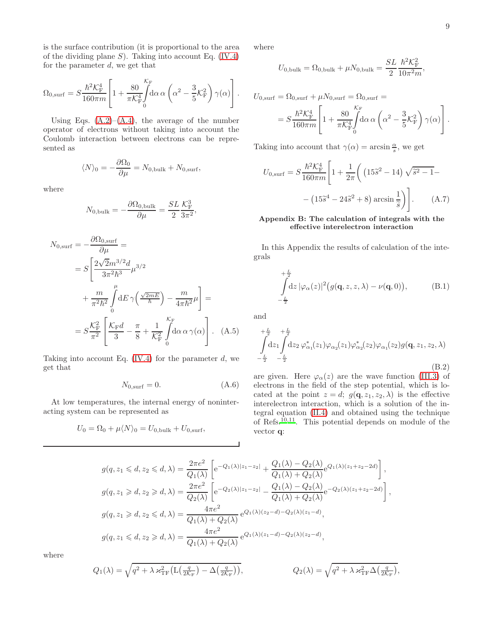is the surface contribution (it is proportional to the area of the dividing plane  $S$ ). Taking into account Eq. [\(IV.4\)](#page-2-4) for the parameter  $d$ , we get that

$$
\Omega_{0,\text{surf}} = S \frac{\hbar^2 \mathcal{K}_{\text{F}}^4}{160 \pi m} \left[ 1 + \frac{80}{\pi \mathcal{K}_{\text{F}}^4} \int_0^{\mathcal{K}_{\text{F}}} d\alpha \alpha \left( \alpha^2 - \frac{3}{5} \mathcal{K}_{\text{F}}^2 \right) \gamma(\alpha) \right].
$$

Using Eqs.  $(A.2)$ – $(A.4)$ , the average of the number operator of electrons without taking into account the Coulomb interaction between electrons can be represented as

$$
\langle N \rangle_0 = -\frac{\partial \Omega_0}{\partial \mu} = N_{0,\text{bulk}} + N_{0,\text{surf}},
$$

where

$$
N_{0,\text{bulk}} = -\frac{\partial \Omega_{0,\text{bulk}}}{\partial \mu} = \frac{SL}{2} \frac{\mathcal{K}_{\text{F}}^3}{3\pi^2},
$$

$$
N_{0,\text{surf}} = -\frac{\partial \Omega_{0,\text{surf}}}{\partial \mu} =
$$
  
=  $S \left[ \frac{2\sqrt{2}m^{3/2}d}{3\pi^2\hbar^3} \mu^{3/2} + \frac{m}{\pi^2\hbar^2} \int_0^{\mu} dE \gamma \left( \frac{\sqrt{2mE}}{\hbar} \right) - \frac{m}{4\pi\hbar^2} \mu \right] =$   
=  $S \frac{\mathcal{K}_{\text{F}}^2}{\pi^2} \left[ \frac{\mathcal{K}_{\text{F}}d}{3} - \frac{\pi}{8} + \frac{1}{\mathcal{K}_{\text{F}}^2} \int_0^{\mathcal{K}_{\text{F}}} d\alpha \alpha \gamma(\alpha) \right].$  (A.5)

Taking into account Eq.  $(IV.4)$  for the parameter d, we get that

$$
N_{0,\text{surf}} = 0.\tag{A.6}
$$

At low temperatures, the internal energy of noninteracting system can be represented as

$$
U_0 = \Omega_0 + \mu \langle N \rangle_0 = U_{0,\text{bulk}} + U_{0,\text{surf}},
$$

where

$$
U_{0,\mathrm{bulk}}=\Omega_{0,\mathrm{bulk}}+\mu N_{0,\mathrm{bulk}}=\frac{SL}{2}\frac{\hbar^2\mathcal{K}_{\mathrm{F}}^2}{10\pi^2m},
$$

$$
U_{0,\text{surf}} = \Omega_{0,\text{surf}} + \mu N_{0,\text{surf}} = \Omega_{0,\text{surf}} =
$$
  
= 
$$
S \frac{\hbar^2 \mathcal{K}_{\text{F}}^4}{160 \pi m} \left[ 1 + \frac{80}{\pi \mathcal{K}_{\text{F}}^4} \int_0^{\mathcal{K}_{\text{F}}} d\alpha \alpha \left( \alpha^2 - \frac{3}{5} \mathcal{K}_{\text{F}}^2 \right) \gamma(\alpha) \right].
$$

Taking into account that  $\gamma(\alpha) = \arcsin \frac{\alpha}{s}$ , we get

<span id="page-8-1"></span>
$$
U_{0,\text{surf}} = S \frac{\hbar^2 \mathcal{K}_{\text{F}}^4}{160\pi m} \left[ 1 + \frac{1}{2\pi} \left( \left( 15\tilde{s}^2 - 14 \right) \sqrt{\tilde{s}^2 - 1} - \right. \right. \\ \left. - \left( 15\tilde{s}^4 - 24\tilde{s}^2 + 8 \right) \arcsin \frac{1}{\tilde{s}} \right) \right]. \tag{A.7}
$$

#### <span id="page-8-0"></span>Appendix B: The calculation of integrals with the effective interelectron interaction

In this Appendix the results of calculation of the integrals

<span id="page-8-2"></span>
$$
\int_{-\frac{L}{2}}^{+\frac{L}{2}} \mathrm{d}z \, |\varphi_{\alpha}(z)|^2 \big(g(\mathbf{q}, z, z, \lambda) - \nu(\mathbf{q}, 0)\big),\tag{B.1}
$$

and

<span id="page-8-3"></span>
$$
+\frac{L}{2} + \frac{L}{2}
$$
  
\n
$$
\int dz_1 \int dz_2 \varphi_{\alpha_1}^*(z_1) \varphi_{\alpha_2}(z_1) \varphi_{\alpha_2}^*(z_2) \varphi_{\alpha_1}(z_2) g(\mathbf{q}, z_1, z_2, \lambda)
$$
  
\n
$$
-\frac{L}{2} - \frac{L}{2}
$$
\n(B.2)

are given. Here  $\varphi_{\alpha}(z)$  are the wave function [\(III.3\)](#page-1-3) of electrons in the field of the step potential, which is located at the point  $z = d$ ;  $g(\mathbf{q}, z_1, z_2, \lambda)$  is the effective interelectron interaction, which is a solution of the integral equation [\(II.4\)](#page-1-4) and obtained using the technique of Refs.[10](#page-10-9)[,11](#page-10-10). This potential depends on module of the vector q:

$$
g(q, z_1 \le d, z_2 \le d, \lambda) = \frac{2\pi e^2}{Q_1(\lambda)} \left[ e^{-Q_1(\lambda)|z_1 - z_2|} + \frac{Q_1(\lambda) - Q_2(\lambda)}{Q_1(\lambda) + Q_2(\lambda)} e^{Q_1(\lambda)(z_1 + z_2 - 2d)} \right],
$$
  
\n
$$
g(q, z_1 \ge d, z_2 \ge d, \lambda) = \frac{2\pi e^2}{Q_2(\lambda)} \left[ e^{-Q_2(\lambda)|z_1 - z_2|} - \frac{Q_1(\lambda) - Q_2(\lambda)}{Q_1(\lambda) + Q_2(\lambda)} e^{-Q_2(\lambda)(z_1 + z_2 - 2d)} \right],
$$
  
\n
$$
g(q, z_1 \ge d, z_2 \le d, \lambda) = \frac{4\pi e^2}{Q_1(\lambda) + Q_2(\lambda)} e^{Q_1(\lambda)(z_2 - d) - Q_2(\lambda)(z_1 - d)},
$$
  
\n
$$
g(q, z_1 \le d, z_2 \ge d, \lambda) = \frac{4\pi e^2}{Q_1(\lambda) + Q_2(\lambda)} e^{Q_1(\lambda)(z_1 - d) - Q_2(\lambda)(z_2 - d)},
$$

where

$$
Q_1(\lambda) = \sqrt{q^2 + \lambda \varkappa_{\rm TF}^2 \left( L\left(\frac{q}{2\mathcal{K}_{\rm F}}\right) - \Delta\left(\frac{q}{2\mathcal{K}_{\rm F}}\right) \right)}, \qquad Q_2(\lambda) = \sqrt{q^2 + \lambda \varkappa_{\rm TF}^2 \Delta\left(\frac{q}{2\mathcal{K}_{\rm F}}\right)},
$$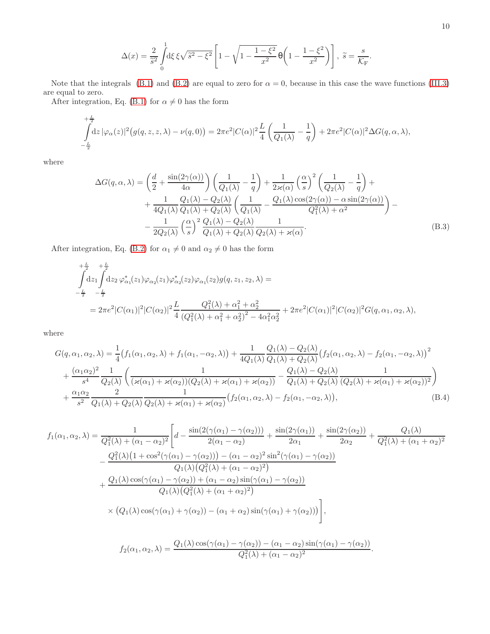$$
\Delta(x) = \frac{2}{\tilde{s}^2} \int_0^1 d\xi \, \xi \sqrt{\tilde{s}^2 - \xi^2} \left[ 1 - \sqrt{1 - \frac{1 - \xi^2}{x^2}} \, \theta \left( 1 - \frac{1 - \xi^2}{x^2} \right) \right], \, \tilde{s} = \frac{s}{\mathcal{K}_{\rm F}}.
$$

Note that the integrals [\(B.1\)](#page-8-2) and [\(B.2\)](#page-8-3) are equal to zero for  $\alpha = 0$ , because in this case the wave functions [\(III.3\)](#page-1-3) are equal to zero.

After integration, Eq. [\(B.1\)](#page-8-2) for  $\alpha\neq 0$  has the form

$$
\int_{-\frac{L}{2}}^{+\frac{L}{2}} \mathrm{d}z \, |\varphi_{\alpha}(z)|^2 \big(g(q,z,z,\lambda) - \nu(q,0)\big) = 2\pi e^2 |C(\alpha)|^2 \frac{L}{4} \left(\frac{1}{Q_1(\lambda)} - \frac{1}{q}\right) + 2\pi e^2 |C(\alpha)|^2 \Delta G(q,\alpha,\lambda),
$$

where

<span id="page-9-0"></span>
$$
\Delta G(q,\alpha,\lambda) = \left(\frac{d}{2} + \frac{\sin(2\gamma(\alpha))}{4\alpha}\right) \left(\frac{1}{Q_1(\lambda)} - \frac{1}{q}\right) + \frac{1}{2\varkappa(\alpha)} \left(\frac{\alpha}{s}\right)^2 \left(\frac{1}{Q_2(\lambda)} - \frac{1}{q}\right) + \frac{1}{4Q_1(\lambda)} \frac{Q_1(\lambda) - Q_2(\lambda)}{Q_1(\lambda) + Q_2(\lambda)} \left(\frac{1}{Q_1(\lambda)} - \frac{Q_1(\lambda)\cos(2\gamma(\alpha)) - \alpha\sin(2\gamma(\alpha))}{Q_1^2(\lambda) + \alpha^2}\right) - \frac{1}{2Q_2(\lambda)} \left(\frac{\alpha}{s}\right)^2 \frac{Q_1(\lambda) - Q_2(\lambda)}{Q_1(\lambda) + Q_2(\lambda)} \frac{1}{Q_2(\lambda) + \varkappa(\alpha)}.
$$
\n(B.3)

After integration, Eq. [\(B.2\)](#page-8-3) for  $\alpha_1\neq 0$  and  $\alpha_2\neq 0$  has the form

$$
\int_{-\frac{L}{2}}^{+\frac{L}{2}} \frac{+ \frac{L}{2}}{\int dz_1 \int dz_2 \varphi_{\alpha_1}^*(z_1) \varphi_{\alpha_2}(z_1) \varphi_{\alpha_2}^*(z_2) \varphi_{\alpha_1}(z_2) g(q, z_1, z_2, \lambda) =
$$
\n
$$
-\frac{L}{2} - \frac{L}{2}
$$
\n
$$
= 2\pi e^2 |C(\alpha_1)|^2 |C(\alpha_2)|^2 \frac{L}{4} \frac{Q_1^2(\lambda) + \alpha_1^2 + \alpha_2^2}{(Q_1^2(\lambda) + \alpha_1^2 + \alpha_2^2)^2 - 4\alpha_1^2 \alpha_2^2} + 2\pi e^2 |C(\alpha_1)|^2 |C(\alpha_2)|^2 G(q, \alpha_1, \alpha_2, \lambda),
$$

where

<span id="page-9-1"></span>
$$
G(q, \alpha_1, \alpha_2, \lambda) = \frac{1}{4} \left( f_1(\alpha_1, \alpha_2, \lambda) + f_1(\alpha_1, -\alpha_2, \lambda) \right) + \frac{1}{4Q_1(\lambda)} \frac{Q_1(\lambda) - Q_2(\lambda)}{Q_1(\lambda) + Q_2(\lambda)} \left( f_2(\alpha_1, \alpha_2, \lambda) - f_2(\alpha_1, -\alpha_2, \lambda) \right)^2
$$

$$
+ \frac{(\alpha_1 \alpha_2)^2}{s^4} \frac{1}{Q_2(\lambda)} \left( \frac{1}{(\varkappa(\alpha_1) + \varkappa(\alpha_2)) (Q_2(\lambda) + \varkappa(\alpha_1) + \varkappa(\alpha_2))} - \frac{Q_1(\lambda) - Q_2(\lambda)}{Q_1(\lambda) + Q_2(\lambda)} \frac{1}{(Q_2(\lambda) + \varkappa(\alpha_1) + \varkappa(\alpha_2))^2} \right)
$$

$$
+ \frac{\alpha_1 \alpha_2}{s^2} \frac{2}{Q_1(\lambda) + Q_2(\lambda)} \frac{1}{Q_2(\lambda) + \varkappa(\alpha_1) + \varkappa(\alpha_2)} \left( f_2(\alpha_1, \alpha_2, \lambda) - f_2(\alpha_1, -\alpha_2, \lambda) \right), \tag{B.4}
$$

$$
f_1(\alpha_1, \alpha_2, \lambda) = \frac{1}{Q_1^2(\lambda) + (\alpha_1 - \alpha_2)^2} \left[ d - \frac{\sin(2(\gamma(\alpha_1) - \gamma(\alpha_2)))}{2(\alpha_1 - \alpha_2)} + \frac{\sin(2\gamma(\alpha_1))}{2\alpha_1} + \frac{\sin(2\gamma(\alpha_2))}{2\alpha_2} + \frac{Q_1(\lambda)}{Q_1^2(\lambda) + (\alpha_1 + \alpha_2)^2} \right]
$$
  

$$
- \frac{Q_1^2(\lambda)\left(1 + \cos^2(\gamma(\alpha_1) - \gamma(\alpha_2))\right) - (\alpha_1 - \alpha_2)^2 \sin^2(\gamma(\alpha_1) - \gamma(\alpha_2))}{Q_1(\lambda)(Q_1^2(\lambda) + (\alpha_1 - \alpha_2)^2)} + \frac{Q_1(\lambda)\cos(\gamma(\alpha_1) - \gamma(\alpha_2)) + (\alpha_1 - \alpha_2)\sin(\gamma(\alpha_1) - \gamma(\alpha_2))}{Q_1(\lambda)(Q_1^2(\lambda) + (\alpha_1 + \alpha_2)^2)} \right]
$$
  

$$
\times (Q_1(\lambda)\cos(\gamma(\alpha_1) + \gamma(\alpha_2)) - (\alpha_1 + \alpha_2)\sin(\gamma(\alpha_1) + \gamma(\alpha_2))) \Bigg],
$$
  

$$
f_2(\alpha_1, \alpha_2, \lambda) = \frac{Q_1(\lambda)\cos(\gamma(\alpha_1) - \gamma(\alpha_2)) - (\alpha_1 - \alpha_2)\sin(\gamma(\alpha_1) - \gamma(\alpha_2))}{Q_1^2(\lambda) + (\alpha_1 - \alpha_2)^2}.
$$